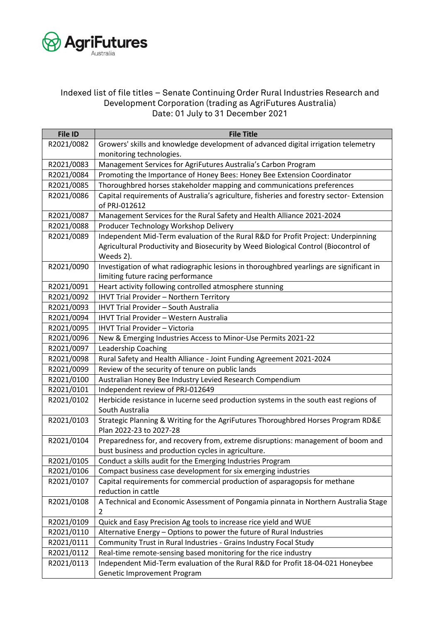

## Indexed list of file titles – Senate Continuing Order Rural Industries Research and Development Corporation (trading as AgriFutures Australia) Date: 01 July to 31 December 2021

| <b>File ID</b> | <b>File Title</b>                                                                        |
|----------------|------------------------------------------------------------------------------------------|
| R2021/0082     | Growers' skills and knowledge development of advanced digital irrigation telemetry       |
|                | monitoring technologies.                                                                 |
| R2021/0083     | Management Services for AgriFutures Australia's Carbon Program                           |
| R2021/0084     | Promoting the Importance of Honey Bees: Honey Bee Extension Coordinator                  |
| R2021/0085     | Thoroughbred horses stakeholder mapping and communications preferences                   |
| R2021/0086     | Capital requirements of Australia's agriculture, fisheries and forestry sector-Extension |
|                | of PRJ-012612                                                                            |
| R2021/0087     | Management Services for the Rural Safety and Health Alliance 2021-2024                   |
| R2021/0088     | Producer Technology Workshop Delivery                                                    |
| R2021/0089     | Independent Mid-Term evaluation of the Rural R&D for Profit Project: Underpinning        |
|                | Agricultural Productivity and Biosecurity by Weed Biological Control (Biocontrol of      |
|                | Weeds 2).                                                                                |
| R2021/0090     | Investigation of what radiographic lesions in thoroughbred yearlings are significant in  |
|                | limiting future racing performance                                                       |
| R2021/0091     | Heart activity following controlled atmosphere stunning                                  |
| R2021/0092     | <b>IHVT Trial Provider - Northern Territory</b>                                          |
| R2021/0093     | <b>IHVT Trial Provider - South Australia</b>                                             |
| R2021/0094     | <b>IHVT Trial Provider - Western Australia</b>                                           |
| R2021/0095     | <b>IHVT Trial Provider - Victoria</b>                                                    |
| R2021/0096     | New & Emerging Industries Access to Minor-Use Permits 2021-22                            |
| R2021/0097     | <b>Leadership Coaching</b>                                                               |
| R2021/0098     | Rural Safety and Health Alliance - Joint Funding Agreement 2021-2024                     |
| R2021/0099     | Review of the security of tenure on public lands                                         |
| R2021/0100     | Australian Honey Bee Industry Levied Research Compendium                                 |
| R2021/0101     | Independent review of PRJ-012649                                                         |
| R2021/0102     | Herbicide resistance in lucerne seed production systems in the south east regions of     |
|                | South Australia                                                                          |
| R2021/0103     | Strategic Planning & Writing for the AgriFutures Thoroughbred Horses Program RD&E        |
|                | Plan 2022-23 to 2027-28                                                                  |
| R2021/0104     | Preparedness for, and recovery from, extreme disruptions: management of boom and         |
|                | bust business and production cycles in agriculture.                                      |
| R2021/0105     | Conduct a skills audit for the Emerging Industries Program                               |
| R2021/0106     | Compact business case development for six emerging industries                            |
| R2021/0107     | Capital requirements for commercial production of asparagopsis for methane               |
|                | reduction in cattle                                                                      |
| R2021/0108     | A Technical and Economic Assessment of Pongamia pinnata in Northern Australia Stage      |
|                | 2                                                                                        |
| R2021/0109     | Quick and Easy Precision Ag tools to increase rice yield and WUE                         |
| R2021/0110     | Alternative Energy - Options to power the future of Rural Industries                     |
| R2021/0111     | Community Trust in Rural Industries - Grains Industry Focal Study                        |
| R2021/0112     | Real-time remote-sensing based monitoring for the rice industry                          |
| R2021/0113     | Independent Mid-Term evaluation of the Rural R&D for Profit 18-04-021 Honeybee           |
|                | Genetic Improvement Program                                                              |